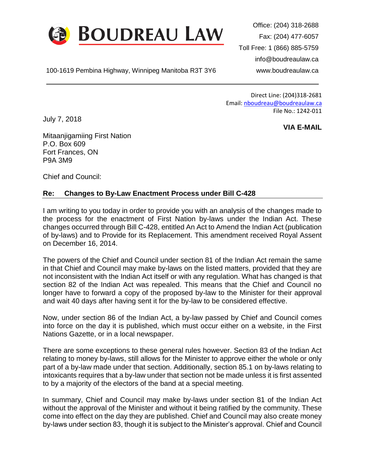

100-1619 Pembina Highway, Winnipeg Manitoba R3T 3Y6 www.boudreaulaw.ca

Office: (204) 318-2688 Fax: (204) 477-6057 Toll Free: 1 (866) 885-5759 info@boudreaulaw.ca

Direct Line: (204)318-2681 Email: [nboudreau@boudreaulaw.ca](mailto:nboudreau@boudreaulaw.ca) File No.: 1242-011

**VIA E-MAIL**

July 7, 2018

Mitaanjigamiing First Nation P.O. Box 609 Fort Frances, ON P9A 3M9

Chief and Council:

## **Re: Changes to By-Law Enactment Process under Bill C-428**

I am writing to you today in order to provide you with an analysis of the changes made to the process for the enactment of First Nation by-laws under the Indian Act. These changes occurred through Bill C-428, entitled An Act to Amend the Indian Act (publication of by-laws) and to Provide for its Replacement. This amendment received Royal Assent on December 16, 2014.

The powers of the Chief and Council under section 81 of the Indian Act remain the same in that Chief and Council may make by-laws on the listed matters, provided that they are not inconsistent with the Indian Act itself or with any regulation. What has changed is that section 82 of the Indian Act was repealed. This means that the Chief and Council no longer have to forward a copy of the proposed by-law to the Minister for their approval and wait 40 days after having sent it for the by-law to be considered effective.

Now, under section 86 of the Indian Act, a by-law passed by Chief and Council comes into force on the day it is published, which must occur either on a website, in the First Nations Gazette, or in a local newspaper.

There are some exceptions to these general rules however. Section 83 of the Indian Act relating to money by-laws, still allows for the Minister to approve either the whole or only part of a by-law made under that section. Additionally, section 85.1 on by-laws relating to intoxicants requires that a by-law under that section not be made unless it is first assented to by a majority of the electors of the band at a special meeting.

In summary, Chief and Council may make by-laws under section 81 of the Indian Act without the approval of the Minister and without it being ratified by the community. These come into effect on the day they are published. Chief and Council may also create money by-laws under section 83, though it is subject to the Minister's approval. Chief and Council